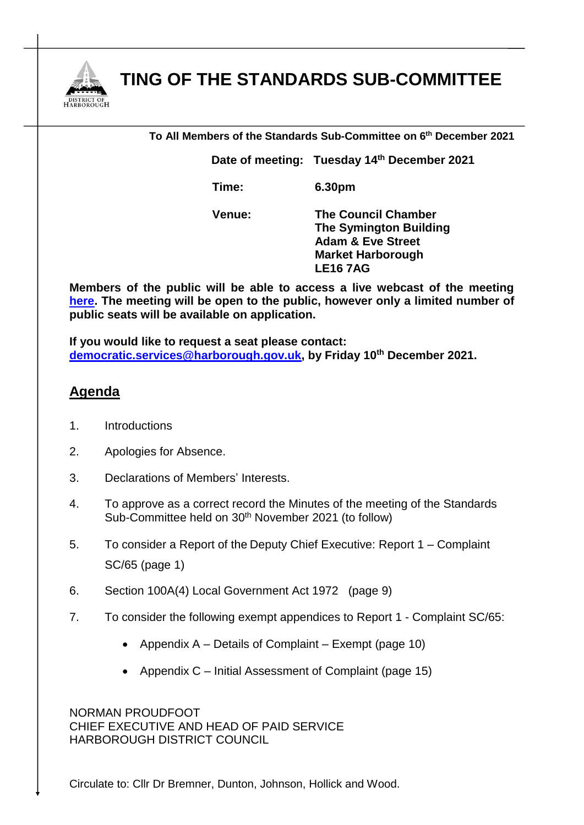

## **MEETING OF THE STANDARDS SUB-COMMITTEE**

| To All Members of the Standards Sub-Committee on 6th December 2021 |                                             |
|--------------------------------------------------------------------|---------------------------------------------|
|                                                                    | Date of meeting: Tuesday 14th December 2021 |
| Time:                                                              | 6.30pm                                      |
| Venue:                                                             | <b>The Council Chamber</b>                  |

**Venue: The Council Chamber The Symington Building Adam & Eve Street Market Harborough LE16 7AG**

**Members of the public will be able to access a live webcast of the meeting [here.](https://cmis.harborough.gov.uk/cmis5/Meetings/tabid/73/ctl/ViewMeetingPublic/mid/410/Meeting/5663/Committee/840/SelectedTab/Documents/Default.aspx) The meeting will be open to the public, however only a limited number of public seats will be available on application.** 

**If you would like to request a seat please contact: [democratic.services@harborough.gov.uk,](mailto:democratic.services@harborough.gov.uk) by Friday 10th December 2021.**

## **Agenda**

- 1. Introductions
- 2. Apologies for Absence.
- 3. Declarations of Members' Interests.
- 4. To approve as a correct record the Minutes of the meeting of the Standards Sub-Committee held on 30<sup>th</sup> November 2021 (to follow)
- 5. To consider a Report of the Deputy Chief Executive: Report 1 Complaint SC/65 (page 1)
- 6. Section 100A(4) Local Government Act 1972 (page 9)
- 7. To consider the following exempt appendices to Report 1 Complaint SC/65:
	- Appendix  $A -$  Details of Complaint Exempt (page 10)
	- Appendix  $C$  Initial Assessment of Complaint (page 15)

NORMAN PROUDFOOT CHIEF EXECUTIVE AND HEAD OF PAID SERVICE HARBOROUGH DISTRICT COUNCIL

Circulate to: Cllr Dr Bremner, Dunton, Johnson, Hollick and Wood.